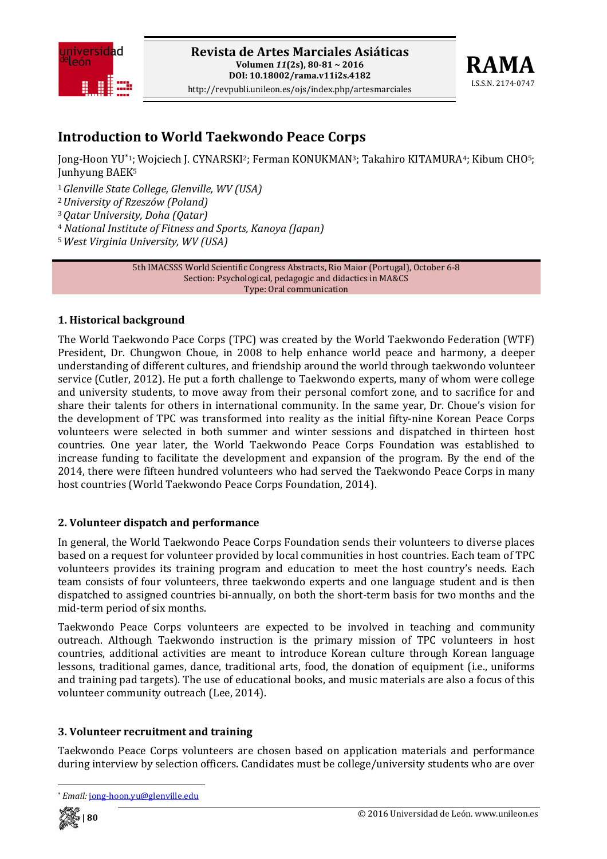



# **Introduction to World Taekwondo Peace Corps**

Jong-Hoon YU<sup>\*1</sup>; Wojciech J. CYNARSKI<sup>2</sup>; Ferman KONUKMAN<sup>3</sup>; Takahiro KITAMURA<sup>4</sup>; Kibum CHO<sup>5</sup>; Junhyung BAEK5

- <sup>1</sup>*Glenville State College, Glenville, WV (USA)*
- <sup>2</sup>*University of Rzeszów (Poland)*
- <sup>3</sup>*Qatar University, Doha (Qatar)*
- <sup>4</sup> *National Institute of Fitness and Sports, Kanoya (Japan)*
- <sup>5</sup>*West Virginia University, WV (USA)*

5th IMACSSS World Scientific Congress Abstracts, Rio Maior (Portugal), October 6‐8 Section: Psychological, pedagogic and didactics in MA&CS Type: Oral communication

### **1. Historical background**

The World Taekwondo Pace Corps (TPC) was created by the World Taekwondo Federation (WTF) President, Dr. Chungwon Choue, in 2008 to help enhance world peace and harmony, a deeper understanding of different cultures, and friendship around the world through taekwondo volunteer service (Cutler, 2012). He put a forth challenge to Taekwondo experts, many of whom were college and university students, to move away from their personal comfort zone, and to sacrifice for and share their talents for others in international community. In the same year, Dr. Choue's vision for the development of TPC was transformed into reality as the initial fifty-nine Korean Peace Corps volunteers were selected in both summer and winter sessions and dispatched in thirteen host countries. One year later, the World Taekwondo Peace Corps Foundation was established to increase funding to facilitate the development and expansion of the program. By the end of the 2014, there were fifteen hundred volunteers who had served the Taekwondo Peace Corps in many host countries (World Taekwondo Peace Corps Foundation, 2014).

### **2. Volunteer dispatch and performance**

In general, the World Taekwondo Peace Corps Foundation sends their volunteers to diverse places based on a request for volunteer provided by local communities in host countries. Each team of TPC volunteers provides its training program and education to meet the host country's needs. Each team consists of four volunteers, three taekwondo experts and one language student and is then dispatched to assigned countries bi‐annually, on both the short‐term basis for two months and the mid‐term period of six months.

Taekwondo Peace Corps volunteers are expected to be involved in teaching and community outreach. Although Taekwondo instruction is the primary mission of TPC volunteers in host countries, additional activities are meant to introduce Korean culture through Korean language lessons, traditional games, dance, traditional arts, food, the donation of equipment (i.e., uniforms and training pad targets). The use of educational books, and music materials are also a focus of this volunteer community outreach (Lee, 2014).

### **3. Volunteer recruitment and training**

Taekwondo Peace Corps volunteers are chosen based on application materials and performance during interview by selection officers. Candidates must be college/university students who are over

 \* *Email:* jong‐hoon.yu@glenville.edu